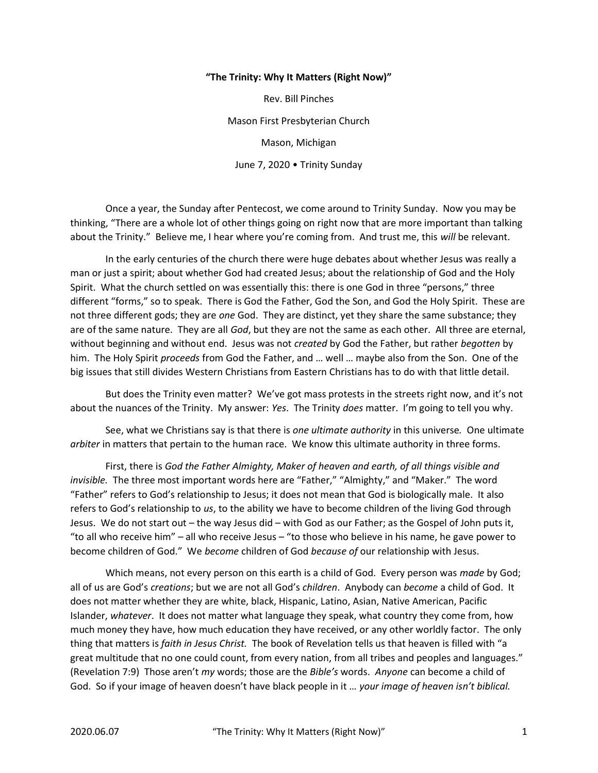## "The Trinity: Why It Matters (Right Now)"

Rev. Bill Pinches Mason First Presbyterian Church Mason, Michigan June 7, 2020 • Trinity Sunday

 Once a year, the Sunday after Pentecost, we come around to Trinity Sunday. Now you may be thinking, "There are a whole lot of other things going on right now that are more important than talking about the Trinity." Believe me, I hear where you're coming from. And trust me, this will be relevant.

 In the early centuries of the church there were huge debates about whether Jesus was really a man or just a spirit; about whether God had created Jesus; about the relationship of God and the Holy Spirit. What the church settled on was essentially this: there is one God in three "persons," three different "forms," so to speak. There is God the Father, God the Son, and God the Holy Spirit. These are not three different gods; they are one God. They are distinct, yet they share the same substance; they are of the same nature. They are all God, but they are not the same as each other. All three are eternal, without beginning and without end. Jesus was not created by God the Father, but rather begotten by him. The Holy Spirit *proceeds* from God the Father, and ... well ... maybe also from the Son. One of the big issues that still divides Western Christians from Eastern Christians has to do with that little detail.

 But does the Trinity even matter? We've got mass protests in the streets right now, and it's not about the nuances of the Trinity. My answer: Yes. The Trinity does matter. I'm going to tell you why.

See, what we Christians say is that there is one ultimate authority in this universe. One ultimate arbiter in matters that pertain to the human race. We know this ultimate authority in three forms.

 First, there is God the Father Almighty, Maker of heaven and earth, of all things visible and invisible. The three most important words here are "Father," "Almighty," and "Maker." The word "Father" refers to God's relationship to Jesus; it does not mean that God is biologically male. It also refers to God's relationship to us, to the ability we have to become children of the living God through Jesus. We do not start out – the way Jesus did – with God as our Father; as the Gospel of John puts it, "to all who receive him" – all who receive Jesus – "to those who believe in his name, he gave power to become children of God." We become children of God because of our relationship with Jesus.

Which means, not every person on this earth is a child of God. Every person was made by God; all of us are God's creations; but we are not all God's children. Anybody can become a child of God. It does not matter whether they are white, black, Hispanic, Latino, Asian, Native American, Pacific Islander, whatever. It does not matter what language they speak, what country they come from, how much money they have, how much education they have received, or any other worldly factor. The only thing that matters is faith in Jesus Christ. The book of Revelation tells us that heaven is filled with "a great multitude that no one could count, from every nation, from all tribes and peoples and languages." (Revelation 7:9) Those aren't my words; those are the Bible's words. Anyone can become a child of God. So if your image of heaven doesn't have black people in it ... your image of heaven isn't biblical.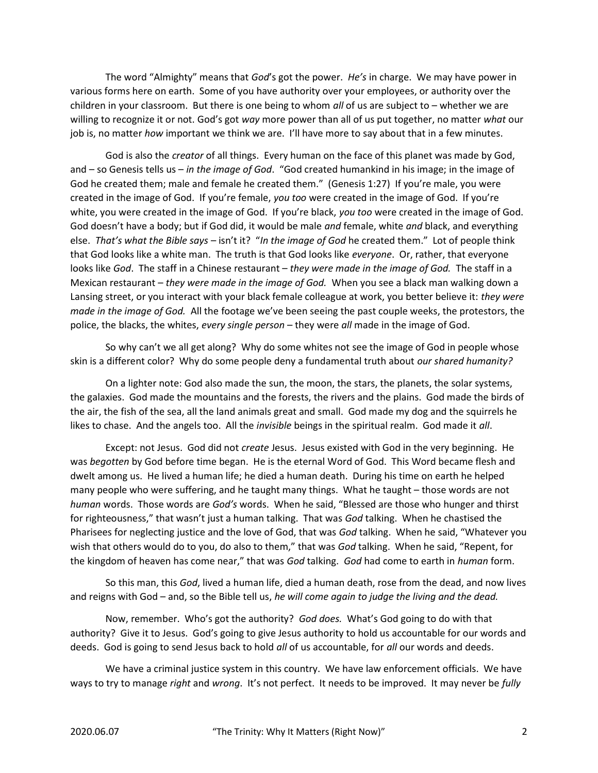The word "Almighty" means that God's got the power. He's in charge. We may have power in various forms here on earth. Some of you have authority over your employees, or authority over the children in your classroom. But there is one being to whom  $all$  of us are subject to – whether we are willing to recognize it or not. God's got way more power than all of us put together, no matter what our job is, no matter how important we think we are. I'll have more to say about that in a few minutes.

God is also the *creator* of all things. Every human on the face of this planet was made by God, and – so Genesis tells us – in the image of God. "God created humankind in his image; in the image of God he created them; male and female he created them." (Genesis 1:27) If you're male, you were created in the image of God. If you're female, you too were created in the image of God. If you're white, you were created in the image of God. If you're black, you too were created in the image of God. God doesn't have a body; but if God did, it would be male and female, white and black, and everything else. That's what the Bible says - isn't it? "In the image of God he created them." Lot of people think that God looks like a white man. The truth is that God looks like everyone. Or, rather, that everyone looks like God. The staff in a Chinese restaurant – they were made in the image of God. The staff in a Mexican restaurant – they were made in the image of God. When you see a black man walking down a Lansing street, or you interact with your black female colleague at work, you better believe it: they were made in the image of God. All the footage we've been seeing the past couple weeks, the protestors, the police, the blacks, the whites, every single person – they were all made in the image of God.

 So why can't we all get along? Why do some whites not see the image of God in people whose skin is a different color? Why do some people deny a fundamental truth about our shared humanity?

 On a lighter note: God also made the sun, the moon, the stars, the planets, the solar systems, the galaxies. God made the mountains and the forests, the rivers and the plains. God made the birds of the air, the fish of the sea, all the land animals great and small. God made my dog and the squirrels he likes to chase. And the angels too. All the invisible beings in the spiritual realm. God made it all.

Except: not Jesus. God did not *create* Jesus. Jesus existed with God in the very beginning. He was begotten by God before time began. He is the eternal Word of God. This Word became flesh and dwelt among us. He lived a human life; he died a human death. During his time on earth he helped many people who were suffering, and he taught many things. What he taught – those words are not human words. Those words are God's words. When he said, "Blessed are those who hunger and thirst for righteousness," that wasn't just a human talking. That was God talking. When he chastised the Pharisees for neglecting justice and the love of God, that was God talking. When he said, "Whatever you wish that others would do to you, do also to them," that was God talking. When he said, "Repent, for the kingdom of heaven has come near," that was God talking. God had come to earth in human form.

 So this man, this God, lived a human life, died a human death, rose from the dead, and now lives and reigns with God – and, so the Bible tell us, he will come again to judge the living and the dead.

Now, remember. Who's got the authority? God does. What's God going to do with that authority? Give it to Jesus. God's going to give Jesus authority to hold us accountable for our words and deeds. God is going to send Jesus back to hold all of us accountable, for all our words and deeds.

 We have a criminal justice system in this country. We have law enforcement officials. We have ways to try to manage right and wrong. It's not perfect. It needs to be improved. It may never be fully